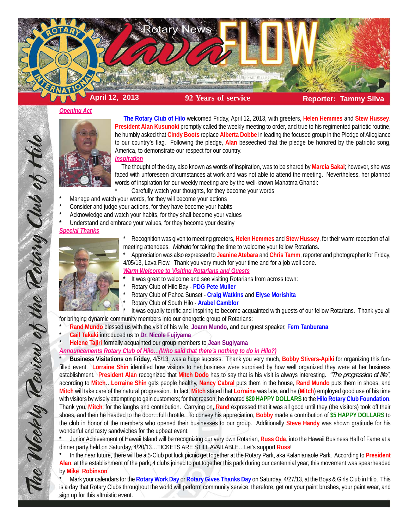

#### *Opening Act*



 **The Rotary Club of Hilo** welcomed Friday, April 12, 2013, with greeters, **Helen Hemmes** and **Stew Hussey**. **President Alan Kusunoki** promptly called the weekly meeting to order, and true to his regimented patriotic routine, he humbly asked that **Cindy Boots** replace **Alberta Dobbe** in leading the focused group in the Pledge of Allegiance to our country's flag. Following the pledge, **Alan** beseeched that the pledge be honored by the patriotic song, America, to demonstrate our respect for our country.

*Inspiration*

 The thought of the day, also known as words of inspiration, was to be shared by **Marcia Sakai**; however, she was faced with unforeseen circumstances at work and was not able to attend the meeting. Nevertheless, her planned words of inspiration for our weekly meeting are by the well-known Mahatma Ghandi:

- Carefully watch your thoughts, for they become your words
- Manage and watch your words, for they will become your actions
- Consider and judge your actions, for they have become your habits
- Acknowledge and watch your habits, for they shall become your values
- **\*** Understand and embrace your values, for they become your destiny

## *Special Thanks*



\* Recognition was given to meeting greeters, **Helen Hemmes** and **Stew Hussey**, for their warm reception of all meeting attendees. *Mahalo* for taking the time to welcome your fellow Rotarians.

\* Appreciation was also expressed to **Jeanine Atebara** and **Chris Tamm**, reporter and photographer for Friday, 4/05/13, Lava Flow. Thank you very much for your time and for a job well done.

*Warm Welcome to Visiting Rotarians and Guests*

- **\*** It was great to welcome and see visiting Rotarians from across town:
- \* Rotary Club of Hilo Bay **PDG Pete Muller**
- \* Rotary Club of Pahoa Sunset **Craig Watkins** and **Elyse Morishita**
- \* Rotary Club of South Hilo **Arabel Camblor**

It was equally terrific and inspiring to become acquainted with guests of our fellow Rotarians. Thank you all for bringing dynamic community members into our energetic group of Rotarians:

\* **Rand Mundo** blessed us with the visit of his wife, **Joann Mundo**, and our guest speaker, **Fern Tanburana**

\* **Gail Takaki** introduced us to **Dr. Nicole Fujiyama**

\* **Helene Tajiri** formally acquainted our group members to **Jean Sugiyama**

*Announcements Rotary Club of Hilo…(Who said that there's nothing to do in Hilo?)*

\* **Business Visitations on Friday**, 4/5/13, was a huge success. Thank you very much, **Bobby Stivers-Apiki** for organizing this funfilled event. **Lorraine Shin** identified how visitors to her business were surprised by how well organized they were at her business establishment. **President Alan** recognized that **Mitch Dodo** has to say that is his visit is always interesting. *"The progression of life"*, according to **Mitch**…**Lorraine Shin** gets people healthy, **Nancy Cabral** puts them in the house, **Rand Mundo** puts them in shoes, and **Mitch** will take care of the natural progression. In fact, **Mitch** stated that **Lorraine** was late, and he (**Mitch**) employed good use of his time with visitors by wisely attempting to gain customers; for that reason, he donated **\$20 HAPPY DOLLARS** to the **Hilo Rotary Club Foundation**. Thank you, **Mitch**, for the laughs and contribution. Carrying on, **Rand** expressed that it was all good until they (the visitors) took off their shoes, and then he headed to the door…full throttle. To convey his appreciation, **Bobby** made a contribution of **\$5 HAPPY DOLLARS** to the club in honor of the members who opened their businesses to our group. Additionally **Steve Handy** was shown gratitude for his wonderful and tasty sandwiches for the upbeat event.

**\*** Junior Achievement of Hawaii Island will be recognizing our very own Rotarian, **Russ Oda**, into the Hawaii Business Hall of Fame at a dinner party held on Saturday, 4/20/13…TICKETS ARE STILL AVAILABLE…Let's support **Russ**!

**\*** In the near future, there will be a 5-Club pot luck picnic get together at the Rotary Park, aka Kalanianaole Park. According to **President Alan**, at the establishment of the park, 4 clubs joined to put together this park during our centennial year; this movement was spearheaded by **Mike Robinson**.

**\*** Mark your calendars for the **Rotary Work Day** or **Rotary Gives Thanks Day** on Saturday, 4/27/13, at the Boys & Girls Club in Hilo. This is a day that Rotary Clubs throughout the world will perform community service; therefore, get out your paint brushes, your paint wear, and sign up for this altruistic event.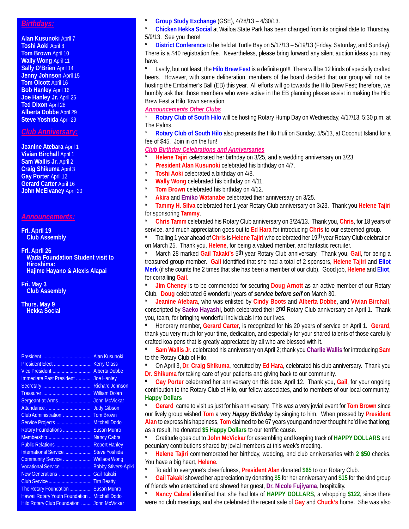### *Birthdays:*

**Alan Kusunoki** April 7 **Toshi Aoki** April 8 **Tom Brown** April 10 **Wally Wong** April 11 **Sally O'Brien** April 14 **Jenny Johnson** April 15 **Tom Olcott** April 16 **Bob Hanley** April 16 **Joe Hanley Jr.** April 26 **Ted Dixon** April 28 **Alberta Dobbe** April 29 **Steve Yoshida** April 29

# *Club Anniversary:*

**Jeanine Atebara** April 1 **Vivian Birchall** April 1 **Sam Wallis Jr.** April 2 **Craig Shikuma** April 3 **Gay Porter** April 12 **Gerard Carter** April 16 **John McElvaney** April 20

## *Announcements:*

**Fri. April 19 Club Assembly**

**Fri. April 26 Wada Foundation Student visit to Hiroshima: Hajime Hayano & Alexis Alapai**

**Fri. May 3 Club Assembly**

**Thurs. May 9 Hekka Social**

| Vice President  Alberta Dobbe                 |  |
|-----------------------------------------------|--|
| Immediate Past President  Joe Hanley          |  |
|                                               |  |
|                                               |  |
|                                               |  |
|                                               |  |
| Club Administration  Tom Brown                |  |
| Service Projects  Mitchell Dodo               |  |
| Rotary Foundations  Susan Munro               |  |
| Membership  Nancy Cabral                      |  |
| Public Relations  Robert Hanley               |  |
| International Service  Steve Yoshida          |  |
| Community Service  Wallace Wong               |  |
| Vocational Service  Bobby Stivers-Apiki       |  |
| New Generations  Gail Takaki                  |  |
|                                               |  |
| The Rotary Foundation  Susan Munro            |  |
| Hawaii Rotary Youth Foundation  Mitchell Dodo |  |
| Hilo Rotary Club Foundation  John McVickar    |  |
|                                               |  |

**\* Group Study Exchange** (GSE), 4/28/13 – 4/30/13.

**\* Chicken Hekka Social** at Wailoa State Park has been changed from its original date to Thursday, 5/9/13. See you there!

**\* District Conference** to be held at Turtle Bay on 5/17/13 – 5/19/13 (Friday, Saturday, and Sunday). There is a \$40 registration fee. Nevertheless, please bring forward any silent auction ideas you may have.

**\*** Lastly, but not least, the **Hilo Brew Fest** is a definite go!!! There will be 12 kinds of specially crafted beers. However, with some deliberation, members of the board decided that our group will not be hosting the Embalmer's Ball (EB) this year. All efforts will go towards the Hilo Brew Fest; therefore, we humbly ask that those members who were active in the EB planning please assist in making the Hilo Brew Fest a Hilo Town sensation.

*Announcements Other Clubs*

Rotary Club of South Hilo will be hosting Rotary Hump Day on Wednesday, 4/17/13, 5:30 p.m. at The Palms.

**Rotary Club of South Hilo also presents the Hilo Huli on Sunday, 5/5/13, at Coconut Island for a** fee of \$45. Join in on the fun!

#### *Club Birthday Celebrations and Anniversaries*

- **\* Helene Tajiri** celebrated her birthday on 3/25, and a wedding anniversary on 3/23.
- **President Alan Kusunoki** celebrated his birthday on 4/7.
- **\* Toshi Aoki** celebrated a birthday on 4/8.
- **Wally Wong** celebrated his birthday on 4/11.
- **Tom Brown** celebrated his birthday on 4/12.
- **\* Akira** and **Emiko Watanabe** celebrated their anniversary on 3/25.

**\* Tammy H. Silva** celebrated her 1 year Rotary Club anniversary on 3/23. Thank you **Helene Tajiri** for sponsoring **Tammy**.

**\* Chris Tamm** celebrated his Rotary Club anniversary on 3/24/13. Thank you, **Chris**, for 18 years of service, and much appreciation goes out to **Ed Hara** for introducing **Chris** to our esteemed group.

**\*** Trailing 1 year ahead of **Chris** is **Helene Tajiri** who celebrated her 19th year Rotary Club celebration on March 25. Thank you, **Helene**, for being a valued member, and fantastic recruiter.

**\*** March 28 marked **Gail Takaki's** 5th year Rotary Club anniversary. Thank you, **Gail**, for being a treasured group member. **Gail** identified that she had a total of 2 sponsors, **Helene Tajiri** and **Eliot Merk** (if she counts the 2 times that she has been a member of our club). Good job, **Helene** and **Eliot**, for corralling **Gail**.

**\* Jim Cheney** is to be commended for securing **Doug Arnott** as an active member of our Rotary Club. **Doug** celebrated 6 wonderful years of *service before self* on March 30.

**\* Jeanine Atebara**, who was enlisted by **Cindy Boots** and **Alberta Dobbe**, and **Vivian Birchall**, conscripted by **Saeko Hayashi**, both celebrated their 2nd Rotary Club anniversary on April 1. Thank you, team, for bringing wonderful individuals into our lives.

**\*** Honorary member, **Gerard Carter**, is recognized for his 20 years of service on April 1. **Gerard**, thank you very much for your time, dedication, and especially for your shared talents of those carefully crafted koa pens that is greatly appreciated by all who are blessed with it.

**\* Sam Wallis Jr.** celebrated his anniversary on April 2; thank you **Charlie Wallis** for introducing **Sam** to the Rotary Club of Hilo.

**\*** On April 3, **Dr. Craig Shikuma**, recruited by **Ed Hara**, celebrated his club anniversary. Thank you **Dr. Shikuma** for taking care of your patients and giving back to our community.

**\* Gay Porter** celebrated her anniversary on this date, April 12. Thank you, **Gail**, for your ongoing contribution to the Rotary Club of Hilo, our fellow associates, and to members of our local community. **Happy Dollars**

\* **Gerard** came to visit us just for his anniversary. This was a very jovial event for **Tom Brown** since our lively group wished **Tom** a very *Happy Birthday* by singing to him. When pressed by **President Alan** to express his happiness, **Tom** claimed to be 67 years young and never thought he'd live that long; as a result, he donated **\$5 Happy Dollars** to our terrific cause.

\* Gratitude goes out to **John McVickar** for assembling and keeping track of **HAPPY DOLLARS** and pecuniary contributions shared by jovial members at this week's meeting.

\* **Helene Tajiri** commemorated her birthday, wedding, and club anniversaries with **2 \$50** checks. You have a big heart, **Helene**.

\* To add to everyone's cheerfulness, **President Alan** donated **\$65** to our Rotary Club.

\* **Gail Takaki** showed her appreciation by donating **\$5** for her anniversary and **\$15** for the kind group of friends who entertained and showed her guest, **Dr. Nicole Fujiyama**, hospitality.

Nancy Cabral identified that she had lots of HAPPY DOLLARS, a whopping \$122, since there were no club meetings, and she celebrated the recent sale of **Gay** and **Chuck's** home. She was also